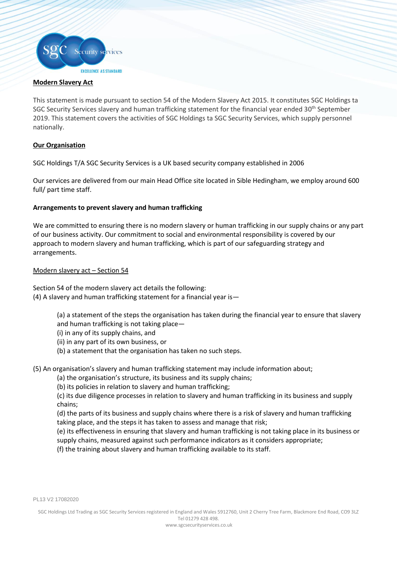

## **Modern Slavery Act**

į

This statement is made pursuant to section 54 of the Modern Slavery Act 2015. It constitutes SGC Holdings ta SGC Security Services slavery and human trafficking statement for the financial year ended 30<sup>th</sup> September 2019. This statement covers the activities of SGC Holdings ta SGC Security Services, which supply personnel nationally.

# **Our Organisation**

SGC Holdings T/A SGC Security Services is a UK based security company established in 2006

Our services are delivered from our main Head Office site located in Sible Hedingham, we employ around 600 full/ part time staff.

# **Arrangements to prevent slavery and human trafficking**

We are committed to ensuring there is no modern slavery or human trafficking in our supply chains or any part of our business activity. Our commitment to social and environmental responsibility is covered by our approach to modern slavery and human trafficking, which is part of our safeguarding strategy and arrangements.

# Modern slavery act – Section 54

Section 54 of the modern slavery act details the following: (4) A slavery and human trafficking statement for a financial year is—

- (a) a statement of the steps the organisation has taken during the financial year to ensure that slavery
- and human trafficking is not taking place—
- (i) in any of its supply chains, and
- (ii) in any part of its own business, or
- (b) a statement that the organisation has taken no such steps.

(5) An organisation's slavery and human trafficking statement may include information about;

- (a) the organisation's structure, its business and its supply chains;
- (b) its policies in relation to slavery and human trafficking;

(c) its due diligence processes in relation to slavery and human trafficking in its business and supply chains;

(d) the parts of its business and supply chains where there is a risk of slavery and human trafficking taking place, and the steps it has taken to assess and manage that risk;

(e) its effectiveness in ensuring that slavery and human trafficking is not taking place in its business or supply chains, measured against such performance indicators as it considers appropriate;

(f) the training about slavery and human trafficking available to its staff.